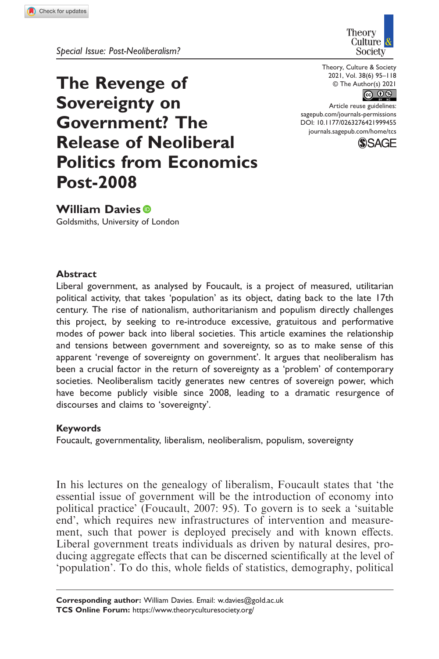

The Revenge of Sovereignty on

Government? The

Release of Neoliberal

Politics from Economics



Theory, Culture & Society 2021, Vol. 38(6) 95–118  $\circ$  The Author(s) 2021

At title Tease guidennes.<br>[sagepub.com/journals-permissions](https://uk.sagepub.com/en-gb/journals-permissions) Article reuse guidelines: DOI: [10.1177/0263276421999455](http://doi.org/10.1177/0263276421999455) [journals.sagepub.com/home/tcs](https://journals.sagepub.com/home/tcs)



William Davies<sup>®</sup>

Post-2008

Goldsmiths, University of London

### Abstract

Liberal government, as analysed by Foucault, is a project of measured, utilitarian political activity, that takes 'population' as its object, dating back to the late 17th century. The rise of nationalism, authoritarianism and populism directly challenges this project, by seeking to re-introduce excessive, gratuitous and performative modes of power back into liberal societies. This article examines the relationship and tensions between government and sovereignty, so as to make sense of this apparent 'revenge of sovereignty on government'. It argues that neoliberalism has been a crucial factor in the return of sovereignty as a 'problem' of contemporary societies. Neoliberalism tacitly generates new centres of sovereign power, which have become publicly visible since 2008, leading to a dramatic resurgence of discourses and claims to 'sovereignty'.

#### Keywords

Foucault, governmentality, liberalism, neoliberalism, populism, sovereignty

In his lectures on the genealogy of liberalism, Foucault states that 'the essential issue of government will be the introduction of economy into political practice' (Foucault, 2007: 95). To govern is to seek a 'suitable end', which requires new infrastructures of intervention and measurement, such that power is deployed precisely and with known effects. Liberal government treats individuals as driven by natural desires, producing aggregate effects that can be discerned scientifically at the level of 'population'. To do this, whole fields of statistics, demography, political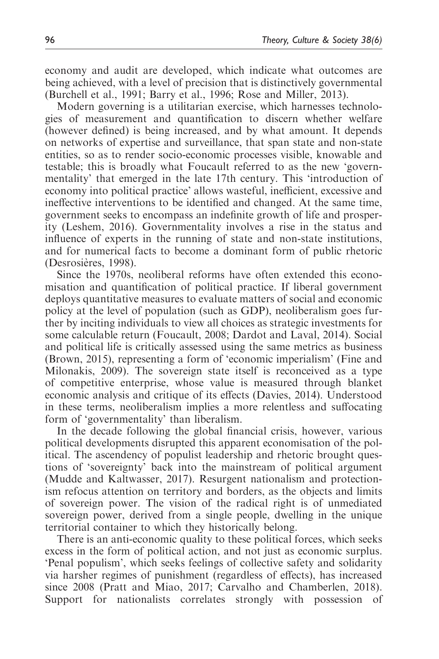economy and audit are developed, which indicate what outcomes are being achieved, with a level of precision that is distinctively governmental (Burchell et al., 1991; Barry et al., 1996; Rose and Miller, 2013).

Modern governing is a utilitarian exercise, which harnesses technologies of measurement and quantification to discern whether welfare (however defined) is being increased, and by what amount. It depends on networks of expertise and surveillance, that span state and non-state entities, so as to render socio-economic processes visible, knowable and testable; this is broadly what Foucault referred to as the new 'governmentality' that emerged in the late 17th century. This 'introduction of economy into political practice' allows wasteful, inefficient, excessive and ineffective interventions to be identified and changed. At the same time, government seeks to encompass an indefinite growth of life and prosperity (Leshem, 2016). Governmentality involves a rise in the status and influence of experts in the running of state and non-state institutions, and for numerical facts to become a dominant form of public rhetoric (Desrosières, 1998).

Since the 1970s, neoliberal reforms have often extended this economisation and quantification of political practice. If liberal government deploys quantitative measures to evaluate matters of social and economic policy at the level of population (such as GDP), neoliberalism goes further by inciting individuals to view all choices as strategic investments for some calculable return (Foucault, 2008; Dardot and Laval, 2014). Social and political life is critically assessed using the same metrics as business (Brown, 2015), representing a form of 'economic imperialism' (Fine and Milonakis, 2009). The sovereign state itself is reconceived as a type of competitive enterprise, whose value is measured through blanket economic analysis and critique of its effects (Davies, 2014). Understood in these terms, neoliberalism implies a more relentless and suffocating form of 'governmentality' than liberalism.

In the decade following the global financial crisis, however, various political developments disrupted this apparent economisation of the political. The ascendency of populist leadership and rhetoric brought questions of 'sovereignty' back into the mainstream of political argument (Mudde and Kaltwasser, 2017). Resurgent nationalism and protectionism refocus attention on territory and borders, as the objects and limits of sovereign power. The vision of the radical right is of unmediated sovereign power, derived from a single people, dwelling in the unique territorial container to which they historically belong.

There is an anti-economic quality to these political forces, which seeks excess in the form of political action, and not just as economic surplus. 'Penal populism', which seeks feelings of collective safety and solidarity via harsher regimes of punishment (regardless of effects), has increased since 2008 (Pratt and Miao, 2017; Carvalho and Chamberlen, 2018). Support for nationalists correlates strongly with possession of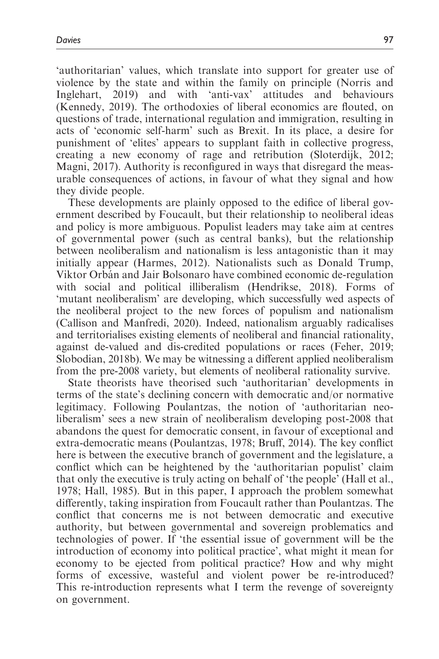'authoritarian' values, which translate into support for greater use of violence by the state and within the family on principle (Norris and Inglehart, 2019) and with 'anti-vax' attitudes and behaviours (Kennedy, 2019). The orthodoxies of liberal economics are flouted, on questions of trade, international regulation and immigration, resulting in acts of 'economic self-harm' such as Brexit. In its place, a desire for punishment of 'elites' appears to supplant faith in collective progress, creating a new economy of rage and retribution (Sloterdijk, 2012; Magni, 2017). Authority is reconfigured in ways that disregard the measurable consequences of actions, in favour of what they signal and how they divide people.

These developments are plainly opposed to the edifice of liberal government described by Foucault, but their relationship to neoliberal ideas and policy is more ambiguous. Populist leaders may take aim at centres of governmental power (such as central banks), but the relationship between neoliberalism and nationalism is less antagonistic than it may initially appear (Harmes, 2012). Nationalists such as Donald Trump, Viktor Orbán and Jair Bolsonaro have combined economic de-regulation with social and political illiberalism (Hendrikse, 2018). Forms of 'mutant neoliberalism' are developing, which successfully wed aspects of the neoliberal project to the new forces of populism and nationalism (Callison and Manfredi, 2020). Indeed, nationalism arguably radicalises and territorialises existing elements of neoliberal and financial rationality, against de-valued and dis-credited populations or races (Feher, 2019; Slobodian, 2018b). We may be witnessing a different applied neoliberalism from the pre-2008 variety, but elements of neoliberal rationality survive.

State theorists have theorised such 'authoritarian' developments in terms of the state's declining concern with democratic and/or normative legitimacy. Following Poulantzas, the notion of 'authoritarian neoliberalism' sees a new strain of neoliberalism developing post-2008 that abandons the quest for democratic consent, in favour of exceptional and extra-democratic means (Poulantzas, 1978; Bruff, 2014). The key conflict here is between the executive branch of government and the legislature, a conflict which can be heightened by the 'authoritarian populist' claim that only the executive is truly acting on behalf of 'the people' (Hall et al., 1978; Hall, 1985). But in this paper, I approach the problem somewhat differently, taking inspiration from Foucault rather than Poulantzas. The conflict that concerns me is not between democratic and executive authority, but between governmental and sovereign problematics and technologies of power. If 'the essential issue of government will be the introduction of economy into political practice', what might it mean for economy to be ejected from political practice? How and why might forms of excessive, wasteful and violent power be re-introduced? This re-introduction represents what I term the revenge of sovereignty on government.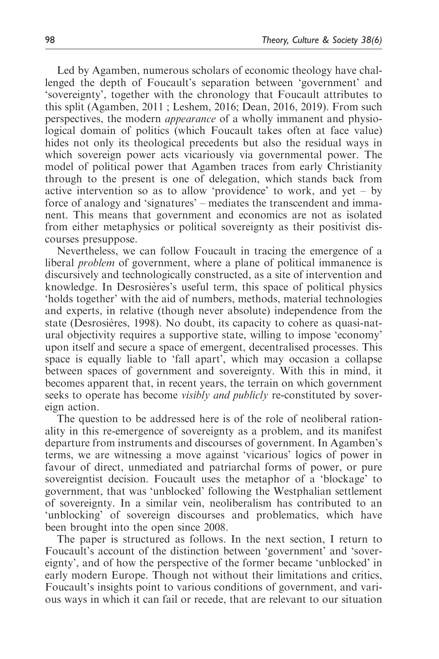Led by Agamben, numerous scholars of economic theology have challenged the depth of Foucault's separation between 'government' and 'sovereignty', together with the chronology that Foucault attributes to this split (Agamben, 2011 ; Leshem, 2016; Dean, 2016, 2019). From such perspectives, the modern *appearance* of a wholly immanent and physiological domain of politics (which Foucault takes often at face value) hides not only its theological precedents but also the residual ways in which sovereign power acts vicariously via governmental power. The model of political power that Agamben traces from early Christianity through to the present is one of delegation, which stands back from active intervention so as to allow 'providence' to work, and yet – by force of analogy and 'signatures' – mediates the transcendent and immanent. This means that government and economics are not as isolated from either metaphysics or political sovereignty as their positivist discourses presuppose.

Nevertheless, we can follow Foucault in tracing the emergence of a liberal *problem* of government, where a plane of political immanence is discursively and technologically constructed, as a site of intervention and knowledge. In Desrosières's useful term, this space of political physics 'holds together' with the aid of numbers, methods, material technologies and experts, in relative (though never absolute) independence from the state (Desrosières, 1998). No doubt, its capacity to cohere as quasi-natural objectivity requires a supportive state, willing to impose 'economy' upon itself and secure a space of emergent, decentralised processes. This space is equally liable to 'fall apart', which may occasion a collapse between spaces of government and sovereignty. With this in mind, it becomes apparent that, in recent years, the terrain on which government seeks to operate has become *visibly and publicly* re-constituted by sovereign action.

The question to be addressed here is of the role of neoliberal rationality in this re-emergence of sovereignty as a problem, and its manifest departure from instruments and discourses of government. In Agamben's terms, we are witnessing a move against 'vicarious' logics of power in favour of direct, unmediated and patriarchal forms of power, or pure sovereigntist decision. Foucault uses the metaphor of a 'blockage' to government, that was 'unblocked' following the Westphalian settlement of sovereignty. In a similar vein, neoliberalism has contributed to an 'unblocking' of sovereign discourses and problematics, which have been brought into the open since 2008.

The paper is structured as follows. In the next section, I return to Foucault's account of the distinction between 'government' and 'sovereignty', and of how the perspective of the former became 'unblocked' in early modern Europe. Though not without their limitations and critics, Foucault's insights point to various conditions of government, and various ways in which it can fail or recede, that are relevant to our situation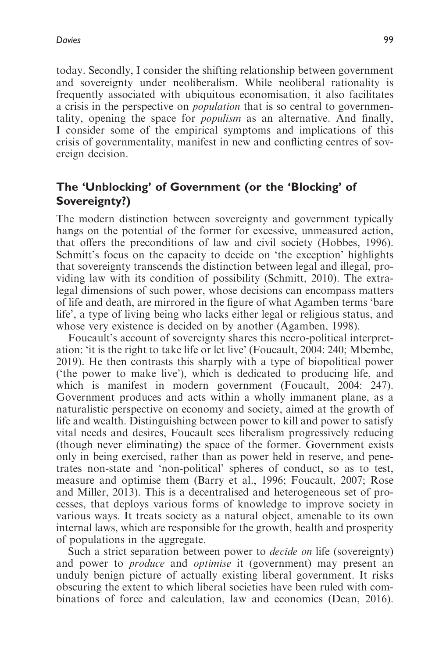today. Secondly, I consider the shifting relationship between government and sovereignty under neoliberalism. While neoliberal rationality is frequently associated with ubiquitous economisation, it also facilitates a crisis in the perspective on population that is so central to governmentality, opening the space for populism as an alternative. And finally, I consider some of the empirical symptoms and implications of this crisis of governmentality, manifest in new and conflicting centres of sovereign decision.

# The 'Unblocking' of Government (or the 'Blocking' of Sovereignty?)

The modern distinction between sovereignty and government typically hangs on the potential of the former for excessive, unmeasured action, that offers the preconditions of law and civil society (Hobbes, 1996). Schmitt's focus on the capacity to decide on 'the exception' highlights that sovereignty transcends the distinction between legal and illegal, providing law with its condition of possibility (Schmitt, 2010). The extralegal dimensions of such power, whose decisions can encompass matters of life and death, are mirrored in the figure of what Agamben terms 'bare life', a type of living being who lacks either legal or religious status, and whose very existence is decided on by another (Agamben, 1998).

Foucault's account of sovereignty shares this necro-political interpretation: 'it is the right to take life or let live' (Foucault, 2004: 240; Mbembe, 2019). He then contrasts this sharply with a type of biopolitical power ('the power to make live'), which is dedicated to producing life, and which is manifest in modern government (Foucault, 2004: 247). Government produces and acts within a wholly immanent plane, as a naturalistic perspective on economy and society, aimed at the growth of life and wealth. Distinguishing between power to kill and power to satisfy vital needs and desires, Foucault sees liberalism progressively reducing (though never eliminating) the space of the former. Government exists only in being exercised, rather than as power held in reserve, and penetrates non-state and 'non-political' spheres of conduct, so as to test, measure and optimise them (Barry et al., 1996; Foucault, 2007; Rose and Miller, 2013). This is a decentralised and heterogeneous set of processes, that deploys various forms of knowledge to improve society in various ways. It treats society as a natural object, amenable to its own internal laws, which are responsible for the growth, health and prosperity of populations in the aggregate.

Such a strict separation between power to *decide on* life (sovereignty) and power to produce and optimise it (government) may present an unduly benign picture of actually existing liberal government. It risks obscuring the extent to which liberal societies have been ruled with combinations of force and calculation, law and economics (Dean, 2016).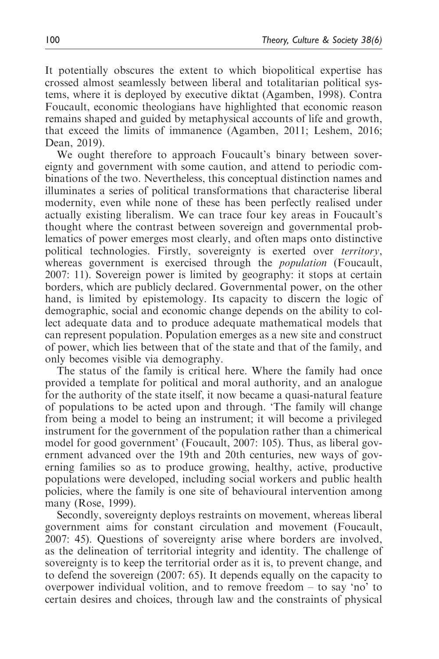It potentially obscures the extent to which biopolitical expertise has crossed almost seamlessly between liberal and totalitarian political systems, where it is deployed by executive diktat (Agamben, 1998). Contra Foucault, economic theologians have highlighted that economic reason remains shaped and guided by metaphysical accounts of life and growth, that exceed the limits of immanence (Agamben, 2011; Leshem, 2016; Dean, 2019).

We ought therefore to approach Foucault's binary between sovereignty and government with some caution, and attend to periodic combinations of the two. Nevertheless, this conceptual distinction names and illuminates a series of political transformations that characterise liberal modernity, even while none of these has been perfectly realised under actually existing liberalism. We can trace four key areas in Foucault's thought where the contrast between sovereign and governmental problematics of power emerges most clearly, and often maps onto distinctive political technologies. Firstly, sovereignty is exerted over territory, whereas government is exercised through the *population* (Foucault, 2007: 11). Sovereign power is limited by geography: it stops at certain borders, which are publicly declared. Governmental power, on the other hand, is limited by epistemology. Its capacity to discern the logic of demographic, social and economic change depends on the ability to collect adequate data and to produce adequate mathematical models that can represent population. Population emerges as a new site and construct of power, which lies between that of the state and that of the family, and only becomes visible via demography.

The status of the family is critical here. Where the family had once provided a template for political and moral authority, and an analogue for the authority of the state itself, it now became a quasi-natural feature of populations to be acted upon and through. 'The family will change from being a model to being an instrument; it will become a privileged instrument for the government of the population rather than a chimerical model for good government' (Foucault, 2007: 105). Thus, as liberal government advanced over the 19th and 20th centuries, new ways of governing families so as to produce growing, healthy, active, productive populations were developed, including social workers and public health policies, where the family is one site of behavioural intervention among many (Rose, 1999).

Secondly, sovereignty deploys restraints on movement, whereas liberal government aims for constant circulation and movement (Foucault, 2007: 45). Questions of sovereignty arise where borders are involved, as the delineation of territorial integrity and identity. The challenge of sovereignty is to keep the territorial order as it is, to prevent change, and to defend the sovereign (2007: 65). It depends equally on the capacity to overpower individual volition, and to remove freedom – to say 'no' to certain desires and choices, through law and the constraints of physical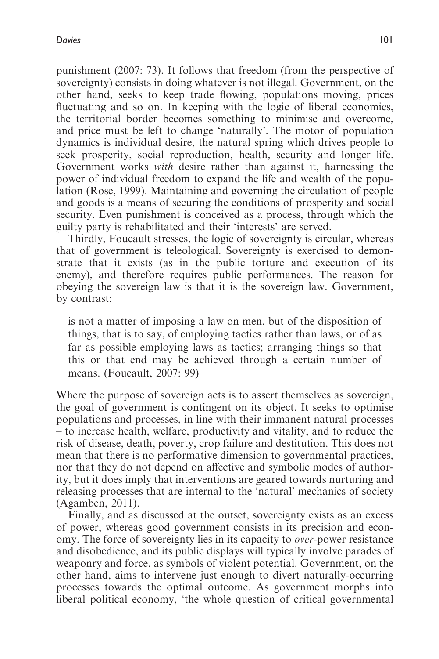punishment (2007: 73). It follows that freedom (from the perspective of sovereignty) consists in doing whatever is not illegal. Government, on the other hand, seeks to keep trade flowing, populations moving, prices fluctuating and so on. In keeping with the logic of liberal economics, the territorial border becomes something to minimise and overcome, and price must be left to change 'naturally'. The motor of population dynamics is individual desire, the natural spring which drives people to seek prosperity, social reproduction, health, security and longer life. Government works with desire rather than against it, harnessing the power of individual freedom to expand the life and wealth of the population (Rose, 1999). Maintaining and governing the circulation of people and goods is a means of securing the conditions of prosperity and social security. Even punishment is conceived as a process, through which the guilty party is rehabilitated and their 'interests' are served.

Thirdly, Foucault stresses, the logic of sovereignty is circular, whereas that of government is teleological. Sovereignty is exercised to demonstrate that it exists (as in the public torture and execution of its enemy), and therefore requires public performances. The reason for obeying the sovereign law is that it is the sovereign law. Government, by contrast:

is not a matter of imposing a law on men, but of the disposition of things, that is to say, of employing tactics rather than laws, or of as far as possible employing laws as tactics; arranging things so that this or that end may be achieved through a certain number of means. (Foucault, 2007: 99)

Where the purpose of sovereign acts is to assert themselves as sovereign, the goal of government is contingent on its object. It seeks to optimise populations and processes, in line with their immanent natural processes – to increase health, welfare, productivity and vitality, and to reduce the risk of disease, death, poverty, crop failure and destitution. This does not mean that there is no performative dimension to governmental practices, nor that they do not depend on affective and symbolic modes of authority, but it does imply that interventions are geared towards nurturing and releasing processes that are internal to the 'natural' mechanics of society (Agamben, 2011).

Finally, and as discussed at the outset, sovereignty exists as an excess of power, whereas good government consists in its precision and economy. The force of sovereignty lies in its capacity to over-power resistance and disobedience, and its public displays will typically involve parades of weaponry and force, as symbols of violent potential. Government, on the other hand, aims to intervene just enough to divert naturally-occurring processes towards the optimal outcome. As government morphs into liberal political economy, 'the whole question of critical governmental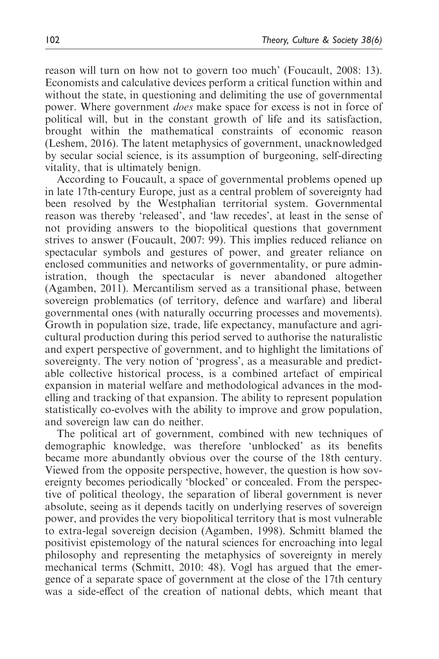reason will turn on how not to govern too much' (Foucault, 2008: 13). Economists and calculative devices perform a critical function within and without the state, in questioning and delimiting the use of governmental power. Where government does make space for excess is not in force of political will, but in the constant growth of life and its satisfaction, brought within the mathematical constraints of economic reason (Leshem, 2016). The latent metaphysics of government, unacknowledged by secular social science, is its assumption of burgeoning, self-directing vitality, that is ultimately benign.

According to Foucault, a space of governmental problems opened up in late 17th-century Europe, just as a central problem of sovereignty had been resolved by the Westphalian territorial system. Governmental reason was thereby 'released', and 'law recedes', at least in the sense of not providing answers to the biopolitical questions that government strives to answer (Foucault, 2007: 99). This implies reduced reliance on spectacular symbols and gestures of power, and greater reliance on enclosed communities and networks of governmentality, or pure administration, though the spectacular is never abandoned altogether (Agamben, 2011). Mercantilism served as a transitional phase, between sovereign problematics (of territory, defence and warfare) and liberal governmental ones (with naturally occurring processes and movements). Growth in population size, trade, life expectancy, manufacture and agricultural production during this period served to authorise the naturalistic and expert perspective of government, and to highlight the limitations of sovereignty. The very notion of 'progress', as a measurable and predictable collective historical process, is a combined artefact of empirical expansion in material welfare and methodological advances in the modelling and tracking of that expansion. The ability to represent population statistically co-evolves with the ability to improve and grow population, and sovereign law can do neither.

The political art of government, combined with new techniques of demographic knowledge, was therefore 'unblocked' as its benefits became more abundantly obvious over the course of the 18th century. Viewed from the opposite perspective, however, the question is how sovereignty becomes periodically 'blocked' or concealed. From the perspective of political theology, the separation of liberal government is never absolute, seeing as it depends tacitly on underlying reserves of sovereign power, and provides the very biopolitical territory that is most vulnerable to extra-legal sovereign decision (Agamben, 1998). Schmitt blamed the positivist epistemology of the natural sciences for encroaching into legal philosophy and representing the metaphysics of sovereignty in merely mechanical terms (Schmitt, 2010: 48). Vogl has argued that the emergence of a separate space of government at the close of the 17th century was a side-effect of the creation of national debts, which meant that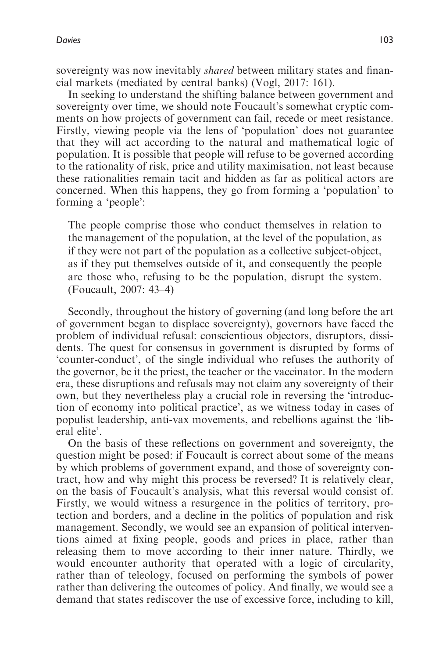sovereignty was now inevitably *shared* between military states and financial markets (mediated by central banks) (Vogl, 2017: 161).

In seeking to understand the shifting balance between government and sovereignty over time, we should note Foucault's somewhat cryptic comments on how projects of government can fail, recede or meet resistance. Firstly, viewing people via the lens of 'population' does not guarantee that they will act according to the natural and mathematical logic of population. It is possible that people will refuse to be governed according to the rationality of risk, price and utility maximisation, not least because these rationalities remain tacit and hidden as far as political actors are concerned. When this happens, they go from forming a 'population' to forming a 'people':

The people comprise those who conduct themselves in relation to the management of the population, at the level of the population, as if they were not part of the population as a collective subject-object, as if they put themselves outside of it, and consequently the people are those who, refusing to be the population, disrupt the system. (Foucault, 2007: 43–4)

Secondly, throughout the history of governing (and long before the art of government began to displace sovereignty), governors have faced the problem of individual refusal: conscientious objectors, disruptors, dissidents. The quest for consensus in government is disrupted by forms of 'counter-conduct', of the single individual who refuses the authority of the governor, be it the priest, the teacher or the vaccinator. In the modern era, these disruptions and refusals may not claim any sovereignty of their own, but they nevertheless play a crucial role in reversing the 'introduction of economy into political practice', as we witness today in cases of populist leadership, anti-vax movements, and rebellions against the 'liberal elite'.

On the basis of these reflections on government and sovereignty, the question might be posed: if Foucault is correct about some of the means by which problems of government expand, and those of sovereignty contract, how and why might this process be reversed? It is relatively clear, on the basis of Foucault's analysis, what this reversal would consist of. Firstly, we would witness a resurgence in the politics of territory, protection and borders, and a decline in the politics of population and risk management. Secondly, we would see an expansion of political interventions aimed at fixing people, goods and prices in place, rather than releasing them to move according to their inner nature. Thirdly, we would encounter authority that operated with a logic of circularity, rather than of teleology, focused on performing the symbols of power rather than delivering the outcomes of policy. And finally, we would see a demand that states rediscover the use of excessive force, including to kill,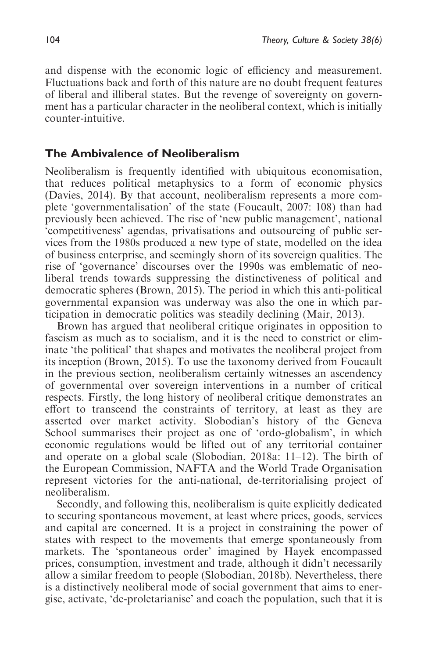and dispense with the economic logic of efficiency and measurement. Fluctuations back and forth of this nature are no doubt frequent features of liberal and illiberal states. But the revenge of sovereignty on government has a particular character in the neoliberal context, which is initially counter-intuitive.

## The Ambivalence of Neoliberalism

Neoliberalism is frequently identified with ubiquitous economisation, that reduces political metaphysics to a form of economic physics (Davies, 2014). By that account, neoliberalism represents a more complete 'governmentalisation' of the state (Foucault, 2007: 108) than had previously been achieved. The rise of 'new public management', national 'competitiveness' agendas, privatisations and outsourcing of public services from the 1980s produced a new type of state, modelled on the idea of business enterprise, and seemingly shorn of its sovereign qualities. The rise of 'governance' discourses over the 1990s was emblematic of neoliberal trends towards suppressing the distinctiveness of political and democratic spheres (Brown, 2015). The period in which this anti-political governmental expansion was underway was also the one in which participation in democratic politics was steadily declining (Mair, 2013).

Brown has argued that neoliberal critique originates in opposition to fascism as much as to socialism, and it is the need to constrict or eliminate 'the political' that shapes and motivates the neoliberal project from its inception (Brown, 2015). To use the taxonomy derived from Foucault in the previous section, neoliberalism certainly witnesses an ascendency of governmental over sovereign interventions in a number of critical respects. Firstly, the long history of neoliberal critique demonstrates an effort to transcend the constraints of territory, at least as they are asserted over market activity. Slobodian's history of the Geneva School summarises their project as one of 'ordo-globalism', in which economic regulations would be lifted out of any territorial container and operate on a global scale (Slobodian, 2018a: 11–12). The birth of the European Commission, NAFTA and the World Trade Organisation represent victories for the anti-national, de-territorialising project of neoliberalism.

Secondly, and following this, neoliberalism is quite explicitly dedicated to securing spontaneous movement, at least where prices, goods, services and capital are concerned. It is a project in constraining the power of states with respect to the movements that emerge spontaneously from markets. The 'spontaneous order' imagined by Hayek encompassed prices, consumption, investment and trade, although it didn't necessarily allow a similar freedom to people (Slobodian, 2018b). Nevertheless, there is a distinctively neoliberal mode of social government that aims to energise, activate, 'de-proletarianise' and coach the population, such that it is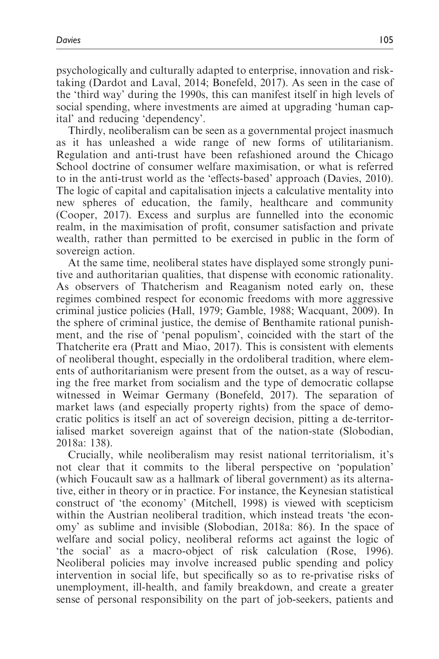psychologically and culturally adapted to enterprise, innovation and risktaking (Dardot and Laval, 2014; Bonefeld, 2017). As seen in the case of the 'third way' during the 1990s, this can manifest itself in high levels of social spending, where investments are aimed at upgrading 'human capital' and reducing 'dependency'.

Thirdly, neoliberalism can be seen as a governmental project inasmuch as it has unleashed a wide range of new forms of utilitarianism. Regulation and anti-trust have been refashioned around the Chicago School doctrine of consumer welfare maximisation, or what is referred to in the anti-trust world as the 'effects-based' approach (Davies, 2010). The logic of capital and capitalisation injects a calculative mentality into new spheres of education, the family, healthcare and community (Cooper, 2017). Excess and surplus are funnelled into the economic realm, in the maximisation of profit, consumer satisfaction and private wealth, rather than permitted to be exercised in public in the form of sovereign action.

At the same time, neoliberal states have displayed some strongly punitive and authoritarian qualities, that dispense with economic rationality. As observers of Thatcherism and Reaganism noted early on, these regimes combined respect for economic freedoms with more aggressive criminal justice policies (Hall, 1979; Gamble, 1988; Wacquant, 2009). In the sphere of criminal justice, the demise of Benthamite rational punishment, and the rise of 'penal populism', coincided with the start of the Thatcherite era (Pratt and Miao, 2017). This is consistent with elements of neoliberal thought, especially in the ordoliberal tradition, where elements of authoritarianism were present from the outset, as a way of rescuing the free market from socialism and the type of democratic collapse witnessed in Weimar Germany (Bonefeld, 2017). The separation of market laws (and especially property rights) from the space of democratic politics is itself an act of sovereign decision, pitting a de-territorialised market sovereign against that of the nation-state (Slobodian, 2018a: 138).

Crucially, while neoliberalism may resist national territorialism, it's not clear that it commits to the liberal perspective on 'population' (which Foucault saw as a hallmark of liberal government) as its alternative, either in theory or in practice. For instance, the Keynesian statistical construct of 'the economy' (Mitchell, 1998) is viewed with scepticism within the Austrian neoliberal tradition, which instead treats 'the economy' as sublime and invisible (Slobodian, 2018a: 86). In the space of welfare and social policy, neoliberal reforms act against the logic of 'the social' as a macro-object of risk calculation (Rose, 1996). Neoliberal policies may involve increased public spending and policy intervention in social life, but specifically so as to re-privatise risks of unemployment, ill-health, and family breakdown, and create a greater sense of personal responsibility on the part of job-seekers, patients and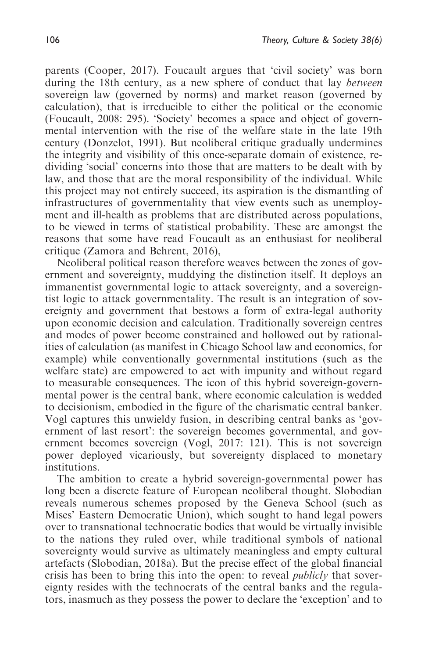parents (Cooper, 2017). Foucault argues that 'civil society' was born during the 18th century, as a new sphere of conduct that lay between sovereign law (governed by norms) and market reason (governed by calculation), that is irreducible to either the political or the economic (Foucault, 2008: 295). 'Society' becomes a space and object of governmental intervention with the rise of the welfare state in the late 19th century (Donzelot, 1991). But neoliberal critique gradually undermines the integrity and visibility of this once-separate domain of existence, redividing 'social' concerns into those that are matters to be dealt with by law, and those that are the moral responsibility of the individual. While this project may not entirely succeed, its aspiration is the dismantling of infrastructures of governmentality that view events such as unemployment and ill-health as problems that are distributed across populations, to be viewed in terms of statistical probability. These are amongst the reasons that some have read Foucault as an enthusiast for neoliberal critique (Zamora and Behrent, 2016),

Neoliberal political reason therefore weaves between the zones of government and sovereignty, muddying the distinction itself. It deploys an immanentist governmental logic to attack sovereignty, and a sovereigntist logic to attack governmentality. The result is an integration of sovereignty and government that bestows a form of extra-legal authority upon economic decision and calculation. Traditionally sovereign centres and modes of power become constrained and hollowed out by rationalities of calculation (as manifest in Chicago School law and economics, for example) while conventionally governmental institutions (such as the welfare state) are empowered to act with impunity and without regard to measurable consequences. The icon of this hybrid sovereign-governmental power is the central bank, where economic calculation is wedded to decisionism, embodied in the figure of the charismatic central banker. Vogl captures this unwieldy fusion, in describing central banks as 'government of last resort': the sovereign becomes governmental, and government becomes sovereign (Vogl, 2017: 121). This is not sovereign power deployed vicariously, but sovereignty displaced to monetary institutions.

The ambition to create a hybrid sovereign-governmental power has long been a discrete feature of European neoliberal thought. Slobodian reveals numerous schemes proposed by the Geneva School (such as Mises' Eastern Democratic Union), which sought to hand legal powers over to transnational technocratic bodies that would be virtually invisible to the nations they ruled over, while traditional symbols of national sovereignty would survive as ultimately meaningless and empty cultural artefacts (Slobodian, 2018a). But the precise effect of the global financial crisis has been to bring this into the open: to reveal *publicly* that sovereignty resides with the technocrats of the central banks and the regulators, inasmuch as they possess the power to declare the 'exception' and to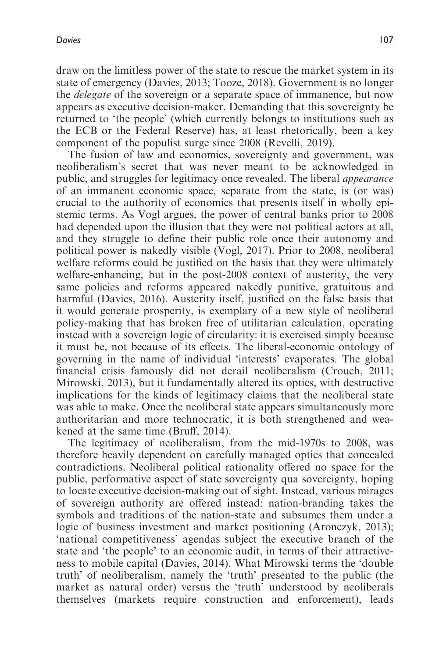draw on the limitless power of the state to rescue the market system in its state of emergency (Davies, 2013; Tooze, 2018). Government is no longer the delegate of the sovereign or a separate space of immanence, but now appears as executive decision-maker. Demanding that this sovereignty be returned to 'the people' (which currently belongs to institutions such as the ECB or the Federal Reserve) has, at least rhetorically, been a key component of the populist surge since 2008 (Revelli, 2019).

The fusion of law and economics, sovereignty and government, was neoliberalism's secret that was never meant to be acknowledged in public, and struggles for legitimacy once revealed. The liberal appearance of an immanent economic space, separate from the state, is (or was) crucial to the authority of economics that presents itself in wholly epistemic terms. As Vogl argues, the power of central banks prior to 2008 had depended upon the illusion that they were not political actors at all, and they struggle to define their public role once their autonomy and political power is nakedly visible (Vogl, 2017). Prior to 2008, neoliberal welfare reforms could be justified on the basis that they were ultimately welfare-enhancing, but in the post-2008 context of austerity, the very same policies and reforms appeared nakedly punitive, gratuitous and harmful (Davies, 2016). Austerity itself, justified on the false basis that it would generate prosperity, is exemplary of a new style of neoliberal policy-making that has broken free of utilitarian calculation, operating instead with a sovereign logic of circularity: it is exercised simply because it must be, not because of its effects. The liberal-economic ontology of governing in the name of individual 'interests' evaporates. The global financial crisis famously did not derail neoliberalism (Crouch, 2011; Mirowski, 2013), but it fundamentally altered its optics, with destructive implications for the kinds of legitimacy claims that the neoliberal state was able to make. Once the neoliberal state appears simultaneously more authoritarian and more technocratic, it is both strengthened and weakened at the same time (Bruff, 2014).

The legitimacy of neoliberalism, from the mid-1970s to 2008, was therefore heavily dependent on carefully managed optics that concealed contradictions. Neoliberal political rationality offered no space for the public, performative aspect of state sovereignty qua sovereignty, hoping to locate executive decision-making out of sight. Instead, various mirages of sovereign authority are offered instead: nation-branding takes the symbols and traditions of the nation-state and subsumes them under a logic of business investment and market positioning (Aronczyk, 2013); 'national competitiveness' agendas subject the executive branch of the state and 'the people' to an economic audit, in terms of their attractiveness to mobile capital (Davies, 2014). What Mirowski terms the 'double truth' of neoliberalism, namely the 'truth' presented to the public (the market as natural order) versus the 'truth' understood by neoliberals themselves (markets require construction and enforcement), leads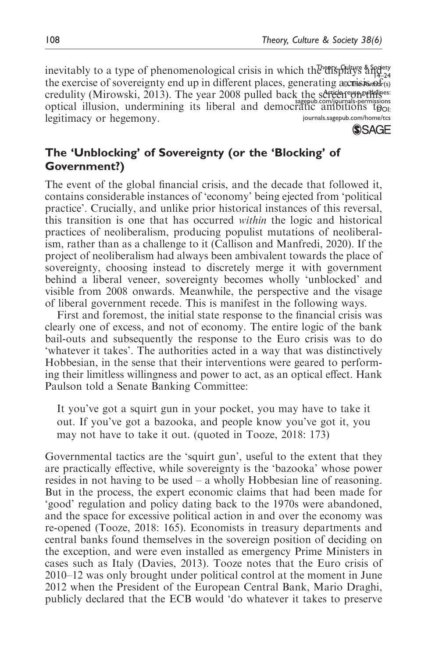[sagepub.com/journals-permissions](https://uk.sagepub.com/en-gb/journals-permissions)<br>TatiC ambitions to Theory, Culture & Society inevitably to a type of phenomenological crisis in which the displays and  $\frac{1}{2}$ the exercise of sovereignty end up in different places, generating a consistents of credulity (Mirowski, 2013). The year 2008 pulled back the screen opselled back optical illusion, undermining its liberal and democratic ambitions  $t_{\theta o}$ [journals.sagepub.com/home/tcs](https://journals.sagepub.com/home/tcs) legitimacy or hegemony.

**SSAGE** 

# The 'Unblocking' of Sovereignty (or the 'Blocking' of Government?)

The event of the global financial crisis, and the decade that followed it, contains considerable instances of 'economy' being ejected from 'political practice'. Crucially, and unlike prior historical instances of this reversal, this transition is one that has occurred within the logic and historical practices of neoliberalism, producing populist mutations of neoliberalism, rather than as a challenge to it (Callison and Manfredi, 2020). If the project of neoliberalism had always been ambivalent towards the place of sovereignty, choosing instead to discretely merge it with government behind a liberal veneer, sovereignty becomes wholly 'unblocked' and visible from 2008 onwards. Meanwhile, the perspective and the visage of liberal government recede. This is manifest in the following ways.

First and foremost, the initial state response to the financial crisis was clearly one of excess, and not of economy. The entire logic of the bank bail-outs and subsequently the response to the Euro crisis was to do 'whatever it takes'. The authorities acted in a way that was distinctively Hobbesian, in the sense that their interventions were geared to performing their limitless willingness and power to act, as an optical effect. Hank Paulson told a Senate Banking Committee:

It you've got a squirt gun in your pocket, you may have to take it out. If you've got a bazooka, and people know you've got it, you may not have to take it out. (quoted in Tooze, 2018: 173)

Governmental tactics are the 'squirt gun', useful to the extent that they are practically effective, while sovereignty is the 'bazooka' whose power resides in not having to be used – a wholly Hobbesian line of reasoning. But in the process, the expert economic claims that had been made for 'good' regulation and policy dating back to the 1970s were abandoned, and the space for excessive political action in and over the economy was re-opened (Tooze, 2018: 165). Economists in treasury departments and central banks found themselves in the sovereign position of deciding on the exception, and were even installed as emergency Prime Ministers in cases such as Italy (Davies, 2013). Tooze notes that the Euro crisis of 2010–12 was only brought under political control at the moment in June 2012 when the President of the European Central Bank, Mario Draghi, publicly declared that the ECB would 'do whatever it takes to preserve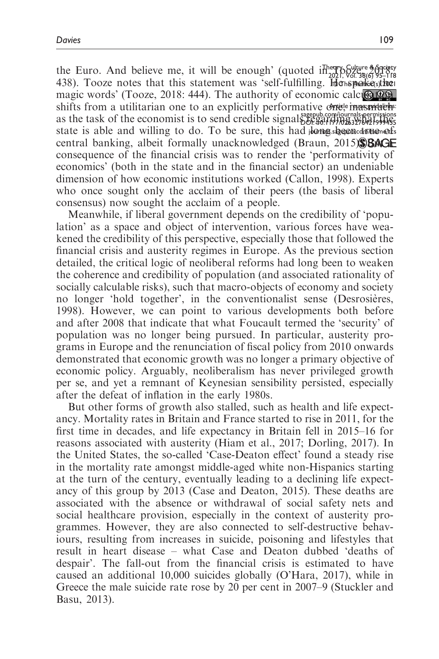shifts from a utilitarian one to an explicitly performative one, inasimular Theory, Culture & Society the Euro. And believe me, it will be enough' (quoted in  $\frac{202}{202}$   $\frac{1}{202}$   $\frac{1}{202}$   $\frac{1}{202}$   $\frac{1}{202}$   $\frac{1}{202}$   $\frac{1}{202}$   $\frac{1}{202}$   $\frac{1}{202}$   $\frac{1}{202}$   $\frac{1}{202}$   $\frac{1}{202}$   $\frac{1}{202}$   $\frac{1}{2$ 438). Tooze notes that this statement was 'self-fulfilling. Henspokesther [sagepub.com/journals-permissions](https://uk.sagepub.com/en-gb/journals-permissions) as the task of the economist is to send credible signals  $\frac{1}{26}$ .  $\frac{1}{40}$ .  $\frac{1}{40}$ state is able and willing to do. To be sure, this had bong beconcantoned magic words' (Tooze, 2018: 444). The authority of economic calculation central banking, albeit formally unacknowledged (Braun,  $2015$ ). BAGE consequence of the financial crisis was to render the 'performativity of economics' (both in the state and in the financial sector) an undeniable dimension of how economic institutions worked (Callon, 1998). Experts who once sought only the acclaim of their peers (the basis of liberal consensus) now sought the acclaim of a people.

Meanwhile, if liberal government depends on the credibility of 'population' as a space and object of intervention, various forces have weakened the credibility of this perspective, especially those that followed the financial crisis and austerity regimes in Europe. As the previous section detailed, the critical logic of neoliberal reforms had long been to weaken the coherence and credibility of population (and associated rationality of socially calculable risks), such that macro-objects of economy and society no longer 'hold together', in the conventionalist sense (Desrosières, 1998). However, we can point to various developments both before and after 2008 that indicate that what Foucault termed the 'security' of population was no longer being pursued. In particular, austerity programs in Europe and the renunciation of fiscal policy from 2010 onwards demonstrated that economic growth was no longer a primary objective of economic policy. Arguably, neoliberalism has never privileged growth per se, and yet a remnant of Keynesian sensibility persisted, especially after the defeat of inflation in the early 1980s.

But other forms of growth also stalled, such as health and life expectancy. Mortality rates in Britain and France started to rise in 2011, for the first time in decades, and life expectancy in Britain fell in 2015–16 for reasons associated with austerity (Hiam et al., 2017; Dorling, 2017). In the United States, the so-called 'Case-Deaton effect' found a steady rise in the mortality rate amongst middle-aged white non-Hispanics starting at the turn of the century, eventually leading to a declining life expectancy of this group by 2013 (Case and Deaton, 2015). These deaths are associated with the absence or withdrawal of social safety nets and social healthcare provision, especially in the context of austerity programmes. However, they are also connected to self-destructive behaviours, resulting from increases in suicide, poisoning and lifestyles that result in heart disease – what Case and Deaton dubbed 'deaths of despair'. The fall-out from the financial crisis is estimated to have caused an additional 10,000 suicides globally (O'Hara, 2017), while in Greece the male suicide rate rose by 20 per cent in 2007–9 (Stuckler and Basu, 2013).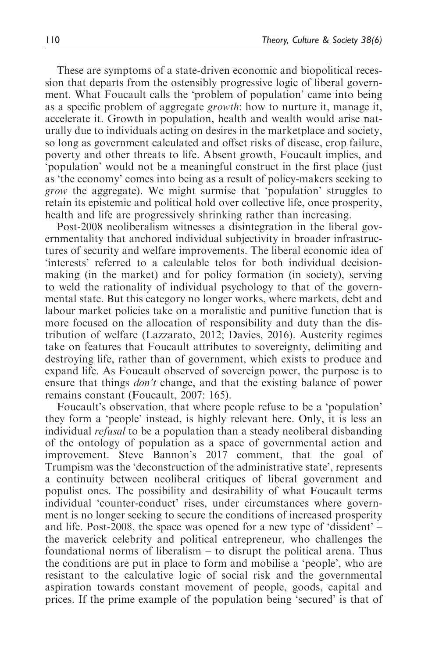These are symptoms of a state-driven economic and biopolitical recession that departs from the ostensibly progressive logic of liberal government. What Foucault calls the 'problem of population' came into being as a specific problem of aggregate growth: how to nurture it, manage it, accelerate it. Growth in population, health and wealth would arise naturally due to individuals acting on desires in the marketplace and society, so long as government calculated and offset risks of disease, crop failure, poverty and other threats to life. Absent growth, Foucault implies, and 'population' would not be a meaningful construct in the first place (just as 'the economy' comes into being as a result of policy-makers seeking to grow the aggregate). We might surmise that 'population' struggles to retain its epistemic and political hold over collective life, once prosperity, health and life are progressively shrinking rather than increasing.

Post-2008 neoliberalism witnesses a disintegration in the liberal governmentality that anchored individual subjectivity in broader infrastructures of security and welfare improvements. The liberal economic idea of 'interests' referred to a calculable telos for both individual decisionmaking (in the market) and for policy formation (in society), serving to weld the rationality of individual psychology to that of the governmental state. But this category no longer works, where markets, debt and labour market policies take on a moralistic and punitive function that is more focused on the allocation of responsibility and duty than the distribution of welfare (Lazzarato, 2012; Davies, 2016). Austerity regimes take on features that Foucault attributes to sovereignty, delimiting and destroying life, rather than of government, which exists to produce and expand life. As Foucault observed of sovereign power, the purpose is to ensure that things don't change, and that the existing balance of power remains constant (Foucault, 2007: 165).

Foucault's observation, that where people refuse to be a 'population' they form a 'people' instead, is highly relevant here. Only, it is less an individual refusal to be a population than a steady neoliberal disbanding of the ontology of population as a space of governmental action and improvement. Steve Bannon's 2017 comment, that the goal of Trumpism was the 'deconstruction of the administrative state', represents a continuity between neoliberal critiques of liberal government and populist ones. The possibility and desirability of what Foucault terms individual 'counter-conduct' rises, under circumstances where government is no longer seeking to secure the conditions of increased prosperity and life. Post-2008, the space was opened for a new type of 'dissident' – the maverick celebrity and political entrepreneur, who challenges the foundational norms of liberalism – to disrupt the political arena. Thus the conditions are put in place to form and mobilise a 'people', who are resistant to the calculative logic of social risk and the governmental aspiration towards constant movement of people, goods, capital and prices. If the prime example of the population being 'secured' is that of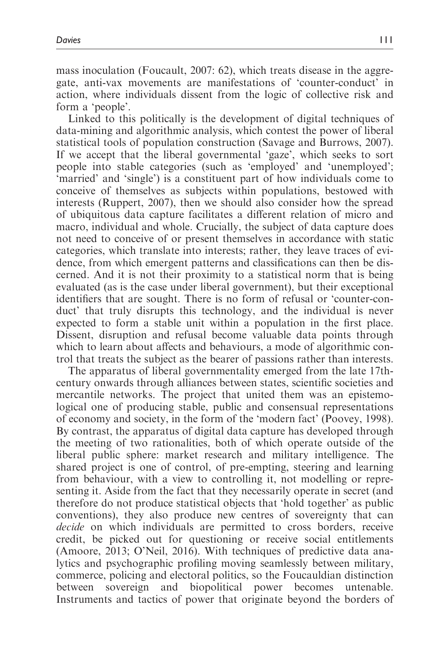mass inoculation (Foucault, 2007: 62), which treats disease in the aggregate, anti-vax movements are manifestations of 'counter-conduct' in action, where individuals dissent from the logic of collective risk and form a 'people'.

Linked to this politically is the development of digital techniques of data-mining and algorithmic analysis, which contest the power of liberal statistical tools of population construction (Savage and Burrows, 2007). If we accept that the liberal governmental 'gaze', which seeks to sort people into stable categories (such as 'employed' and 'unemployed'; 'married' and 'single') is a constituent part of how individuals come to conceive of themselves as subjects within populations, bestowed with interests (Ruppert, 2007), then we should also consider how the spread of ubiquitous data capture facilitates a different relation of micro and macro, individual and whole. Crucially, the subject of data capture does not need to conceive of or present themselves in accordance with static categories, which translate into interests; rather, they leave traces of evidence, from which emergent patterns and classifications can then be discerned. And it is not their proximity to a statistical norm that is being evaluated (as is the case under liberal government), but their exceptional identifiers that are sought. There is no form of refusal or 'counter-conduct' that truly disrupts this technology, and the individual is never expected to form a stable unit within a population in the first place. Dissent, disruption and refusal become valuable data points through which to learn about affects and behaviours, a mode of algorithmic control that treats the subject as the bearer of passions rather than interests.

The apparatus of liberal governmentality emerged from the late 17thcentury onwards through alliances between states, scientific societies and mercantile networks. The project that united them was an epistemological one of producing stable, public and consensual representations of economy and society, in the form of the 'modern fact' (Poovey, 1998). By contrast, the apparatus of digital data capture has developed through the meeting of two rationalities, both of which operate outside of the liberal public sphere: market research and military intelligence. The shared project is one of control, of pre-empting, steering and learning from behaviour, with a view to controlling it, not modelling or representing it. Aside from the fact that they necessarily operate in secret (and therefore do not produce statistical objects that 'hold together' as public conventions), they also produce new centres of sovereignty that can decide on which individuals are permitted to cross borders, receive credit, be picked out for questioning or receive social entitlements (Amoore, 2013; O'Neil, 2016). With techniques of predictive data analytics and psychographic profiling moving seamlessly between military, commerce, policing and electoral politics, so the Foucauldian distinction between sovereign and biopolitical power becomes untenable. Instruments and tactics of power that originate beyond the borders of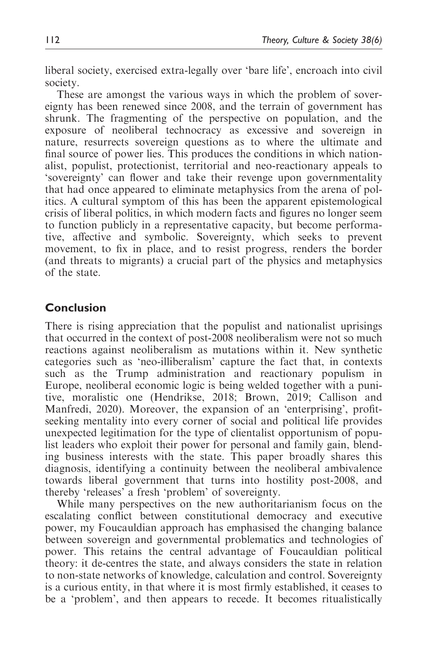liberal society, exercised extra-legally over 'bare life', encroach into civil society.

These are amongst the various ways in which the problem of sovereignty has been renewed since 2008, and the terrain of government has shrunk. The fragmenting of the perspective on population, and the exposure of neoliberal technocracy as excessive and sovereign in nature, resurrects sovereign questions as to where the ultimate and final source of power lies. This produces the conditions in which nationalist, populist, protectionist, territorial and neo-reactionary appeals to 'sovereignty' can flower and take their revenge upon governmentality that had once appeared to eliminate metaphysics from the arena of politics. A cultural symptom of this has been the apparent epistemological crisis of liberal politics, in which modern facts and figures no longer seem to function publicly in a representative capacity, but become performative, affective and symbolic. Sovereignty, which seeks to prevent movement, to fix in place, and to resist progress, renders the border (and threats to migrants) a crucial part of the physics and metaphysics of the state.

## Conclusion

There is rising appreciation that the populist and nationalist uprisings that occurred in the context of post-2008 neoliberalism were not so much reactions against neoliberalism as mutations within it. New synthetic categories such as 'neo-illiberalism' capture the fact that, in contexts such as the Trump administration and reactionary populism in Europe, neoliberal economic logic is being welded together with a punitive, moralistic one (Hendrikse, 2018; Brown, 2019; Callison and Manfredi, 2020). Moreover, the expansion of an 'enterprising', profitseeking mentality into every corner of social and political life provides unexpected legitimation for the type of clientalist opportunism of populist leaders who exploit their power for personal and family gain, blending business interests with the state. This paper broadly shares this diagnosis, identifying a continuity between the neoliberal ambivalence towards liberal government that turns into hostility post-2008, and thereby 'releases' a fresh 'problem' of sovereignty.

While many perspectives on the new authoritarianism focus on the escalating conflict between constitutional democracy and executive power, my Foucauldian approach has emphasised the changing balance between sovereign and governmental problematics and technologies of power. This retains the central advantage of Foucauldian political theory: it de-centres the state, and always considers the state in relation to non-state networks of knowledge, calculation and control. Sovereignty is a curious entity, in that where it is most firmly established, it ceases to be a 'problem', and then appears to recede. It becomes ritualistically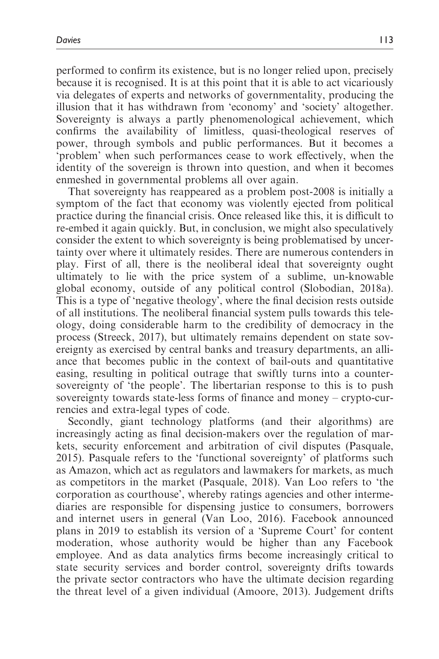performed to confirm its existence, but is no longer relied upon, precisely because it is recognised. It is at this point that it is able to act vicariously via delegates of experts and networks of governmentality, producing the illusion that it has withdrawn from 'economy' and 'society' altogether. Sovereignty is always a partly phenomenological achievement, which confirms the availability of limitless, quasi-theological reserves of power, through symbols and public performances. But it becomes a 'problem' when such performances cease to work effectively, when the identity of the sovereign is thrown into question, and when it becomes enmeshed in governmental problems all over again.

That sovereignty has reappeared as a problem post-2008 is initially a symptom of the fact that economy was violently ejected from political practice during the financial crisis. Once released like this, it is difficult to re-embed it again quickly. But, in conclusion, we might also speculatively consider the extent to which sovereignty is being problematised by uncertainty over where it ultimately resides. There are numerous contenders in play. First of all, there is the neoliberal ideal that sovereignty ought ultimately to lie with the price system of a sublime, un-knowable global economy, outside of any political control (Slobodian, 2018a). This is a type of 'negative theology', where the final decision rests outside of all institutions. The neoliberal financial system pulls towards this teleology, doing considerable harm to the credibility of democracy in the process (Streeck, 2017), but ultimately remains dependent on state sovereignty as exercised by central banks and treasury departments, an alliance that becomes public in the context of bail-outs and quantitative easing, resulting in political outrage that swiftly turns into a countersovereignty of 'the people'. The libertarian response to this is to push sovereignty towards state-less forms of finance and money – crypto-currencies and extra-legal types of code.

Secondly, giant technology platforms (and their algorithms) are increasingly acting as final decision-makers over the regulation of markets, security enforcement and arbitration of civil disputes (Pasquale, 2015). Pasquale refers to the 'functional sovereignty' of platforms such as Amazon, which act as regulators and lawmakers for markets, as much as competitors in the market (Pasquale, 2018). Van Loo refers to 'the corporation as courthouse', whereby ratings agencies and other intermediaries are responsible for dispensing justice to consumers, borrowers and internet users in general (Van Loo, 2016). Facebook announced plans in 2019 to establish its version of a 'Supreme Court' for content moderation, whose authority would be higher than any Facebook employee. And as data analytics firms become increasingly critical to state security services and border control, sovereignty drifts towards the private sector contractors who have the ultimate decision regarding the threat level of a given individual (Amoore, 2013). Judgement drifts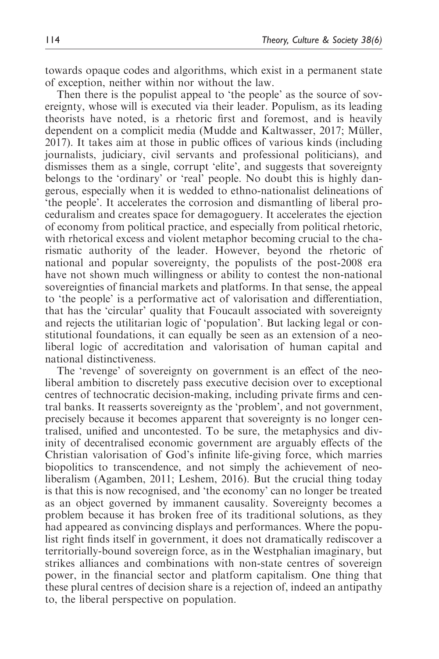towards opaque codes and algorithms, which exist in a permanent state of exception, neither within nor without the law.

Then there is the populist appeal to 'the people' as the source of sovereignty, whose will is executed via their leader. Populism, as its leading theorists have noted, is a rhetoric first and foremost, and is heavily dependent on a complicit media (Mudde and Kaltwasser, 2017; Müller, 2017). It takes aim at those in public offices of various kinds (including journalists, judiciary, civil servants and professional politicians), and dismisses them as a single, corrupt 'elite', and suggests that sovereignty belongs to the 'ordinary' or 'real' people. No doubt this is highly dangerous, especially when it is wedded to ethno-nationalist delineations of 'the people'. It accelerates the corrosion and dismantling of liberal proceduralism and creates space for demagoguery. It accelerates the ejection of economy from political practice, and especially from political rhetoric, with rhetorical excess and violent metaphor becoming crucial to the charismatic authority of the leader. However, beyond the rhetoric of national and popular sovereignty, the populists of the post-2008 era have not shown much willingness or ability to contest the non-national sovereignties of financial markets and platforms. In that sense, the appeal to 'the people' is a performative act of valorisation and differentiation, that has the 'circular' quality that Foucault associated with sovereignty and rejects the utilitarian logic of 'population'. But lacking legal or constitutional foundations, it can equally be seen as an extension of a neoliberal logic of accreditation and valorisation of human capital and national distinctiveness.

The 'revenge' of sovereignty on government is an effect of the neoliberal ambition to discretely pass executive decision over to exceptional centres of technocratic decision-making, including private firms and central banks. It reasserts sovereignty as the 'problem', and not government, precisely because it becomes apparent that sovereignty is no longer centralised, unified and uncontested. To be sure, the metaphysics and divinity of decentralised economic government are arguably effects of the Christian valorisation of God's infinite life-giving force, which marries biopolitics to transcendence, and not simply the achievement of neoliberalism (Agamben, 2011; Leshem, 2016). But the crucial thing today is that this is now recognised, and 'the economy' can no longer be treated as an object governed by immanent causality. Sovereignty becomes a problem because it has broken free of its traditional solutions, as they had appeared as convincing displays and performances. Where the populist right finds itself in government, it does not dramatically rediscover a territorially-bound sovereign force, as in the Westphalian imaginary, but strikes alliances and combinations with non-state centres of sovereign power, in the financial sector and platform capitalism. One thing that these plural centres of decision share is a rejection of, indeed an antipathy to, the liberal perspective on population.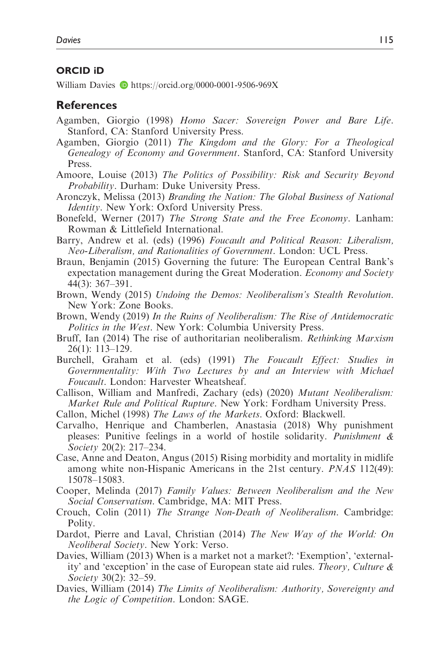### ORCID iD

William Davies  $\bullet$  https://orcid.org/0000-0001-9506-969X

## **References**

- Agamben, Giorgio (1998) Homo Sacer: Sovereign Power and Bare Life. Stanford, CA: Stanford University Press.
- Agamben, Giorgio (2011) The Kingdom and the Glory: For a Theological Genealogy of Economy and Government. Stanford, CA: Stanford University Press.
- Amoore, Louise (2013) The Politics of Possibility: Risk and Security Beyond Probability. Durham: Duke University Press.
- Aronczyk, Melissa (2013) Branding the Nation: The Global Business of National Identity. New York: Oxford University Press.
- Bonefeld, Werner (2017) The Strong State and the Free Economy. Lanham: Rowman & Littlefield International.
- Barry, Andrew et al. (eds) (1996) Foucault and Political Reason: Liberalism, Neo-Liberalism, and Rationalities of Government. London: UCL Press.
- Braun, Benjamin (2015) Governing the future: The European Central Bank's expectation management during the Great Moderation. Economy and Society 44(3): 367–391.
- Brown, Wendy (2015) Undoing the Demos: Neoliberalism's Stealth Revolution. New York: Zone Books.
- Brown, Wendy (2019) In the Ruins of Neoliberalism: The Rise of Antidemocratic Politics in the West. New York: Columbia University Press.
- Bruff, Ian (2014) The rise of authoritarian neoliberalism. Rethinking Marxism 26(1): 113–129.
- Burchell, Graham et al. (eds) (1991) The Foucault Effect: Studies in Governmentality: With Two Lectures by and an Interview with Michael Foucault. London: Harvester Wheatsheaf.
- Callison, William and Manfredi, Zachary (eds) (2020) Mutant Neoliberalism: Market Rule and Political Rupture. New York: Fordham University Press.
- Callon, Michel (1998) The Laws of the Markets. Oxford: Blackwell.
- Carvalho, Henrique and Chamberlen, Anastasia (2018) Why punishment pleases: Punitive feelings in a world of hostile solidarity. Punishment  $\&$ Society 20(2): 217–234.
- Case, Anne and Deaton, Angus (2015) Rising morbidity and mortality in midlife among white non-Hispanic Americans in the 21st century. PNAS 112(49): 15078–15083.
- Cooper, Melinda (2017) Family Values: Between Neoliberalism and the New Social Conservatism. Cambridge, MA: MIT Press.
- Crouch, Colin (2011) The Strange Non-Death of Neoliberalism. Cambridge: Polity.
- Dardot, Pierre and Laval, Christian (2014) The New Way of the World: On Neoliberal Society. New York: Verso.
- Davies, William (2013) When is a market not a market?: 'Exemption', 'externality' and 'exception' in the case of European state aid rules. Theory, Culture & Society 30(2): 32–59.
- Davies, William (2014) The Limits of Neoliberalism: Authority, Sovereignty and the Logic of Competition. London: SAGE.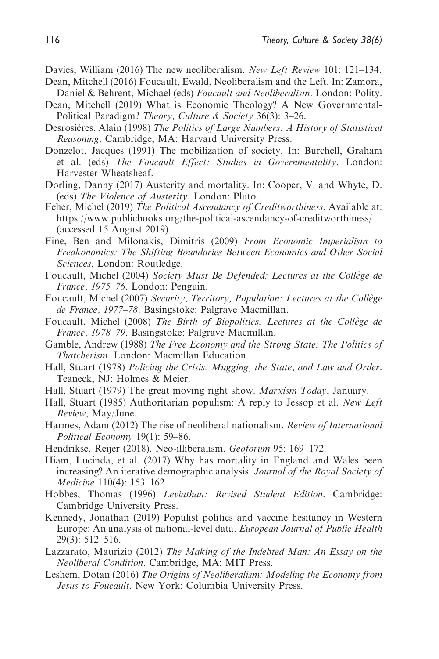- Davies, William (2016) The new neoliberalism. New Left Review 101: 121–134.
- Dean, Mitchell (2016) Foucault, Ewald, Neoliberalism and the Left. In: Zamora, Daniel & Behrent, Michael (eds) Foucault and Neoliberalism. London: Polity.
- Dean, Mitchell (2019) What is Economic Theology? A New Governmental-Political Paradigm? Theory, Culture & Society 36(3): 3–26.
- Desrosières, Alain (1998) The Politics of Large Numbers: A History of Statistical Reasoning. Cambridge, MA: Harvard University Press.
- Donzelot, Jacques (1991) The mobilization of society. In: Burchell, Graham et al. (eds) The Foucault Effect: Studies in Governmentality. London: Harvester Wheatsheaf.
- Dorling, Danny (2017) Austerity and mortality. In: Cooper, V. and Whyte, D. (eds) The Violence of Austerity. London: Pluto.
- Feher, Michel (2019) The Political Ascendancy of Creditworthiness. Available at: https://www.publicbooks.org/the-political-ascendancy-of-creditworthiness/ (accessed 15 August 2019).
- Fine, Ben and Milonakis, Dimitris (2009) From Economic Imperialism to Freakonomics: The Shifting Boundaries Between Economics and Other Social Sciences. London: Routledge.
- Foucault, Michel (2004) Society Must Be Defended: Lectures at the Collège de France, 1975–76. London: Penguin.
- Foucault, Michel (2007) Security, Territory, Population: Lectures at the Collège de France, 1977–78. Basingstoke: Palgrave Macmillan.
- Foucault, Michel (2008) The Birth of Biopolitics: Lectures at the Collège de France, 1978–79. Basingstoke: Palgrave Macmillan.
- Gamble, Andrew (1988) The Free Economy and the Strong State: The Politics of Thatcherism. London: Macmillan Education.
- Hall, Stuart (1978) Policing the Crisis: Mugging, the State, and Law and Order. Teaneck, NJ: Holmes & Meier.
- Hall, Stuart (1979) The great moving right show. Marxism Today, January.
- Hall, Stuart (1985) Authoritarian populism: A reply to Jessop et al. New Left Review, May/June.
- Harmes, Adam (2012) The rise of neoliberal nationalism. Review of International Political Economy 19(1): 59–86.
- Hendrikse, Reijer (2018). Neo-illiberalism. Geoforum 95: 169–172.
- Hiam, Lucinda, et al. (2017) Why has mortality in England and Wales been increasing? An iterative demographic analysis. Journal of the Royal Society of Medicine 110(4): 153–162.
- Hobbes, Thomas (1996) Leviathan: Revised Student Edition. Cambridge: Cambridge University Press.
- Kennedy, Jonathan (2019) Populist politics and vaccine hesitancy in Western Europe: An analysis of national-level data. *European Journal of Public Health* 29(3): 512–516.
- Lazzarato, Maurizio (2012) The Making of the Indebted Man: An Essay on the Neoliberal Condition. Cambridge, MA: MIT Press.
- Leshem, Dotan (2016) The Origins of Neoliberalism: Modeling the Economy from Jesus to Foucault. New York: Columbia University Press.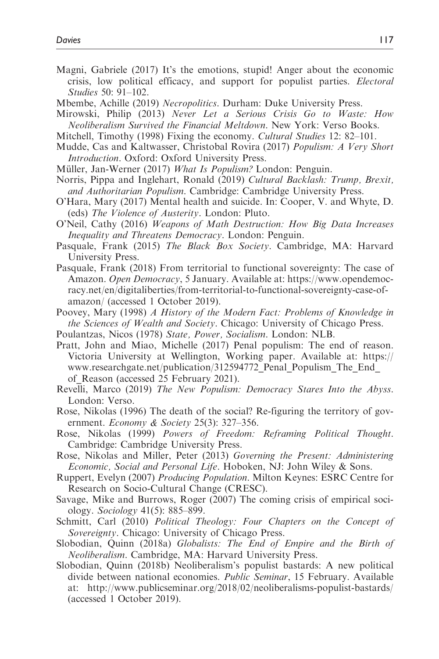- Magni, Gabriele (2017) It's the emotions, stupid! Anger about the economic crisis, low political efficacy, and support for populist parties. Electoral Studies 50: 91–102.
- Mbembe, Achille (2019) Necropolitics. Durham: Duke University Press.
- Mirowski, Philip (2013) Never Let a Serious Crisis Go to Waste: How Neoliberalism Survived the Financial Meltdown. New York: Verso Books.
- Mitchell, Timothy (1998) Fixing the economy. Cultural Studies 12: 82–101.
- Mudde, Cas and Kaltwasser, Christobal Rovira (2017) Populism: A Very Short Introduction. Oxford: Oxford University Press.
- Müller, Jan-Werner (2017) What Is Populism? London: Penguin.
- Norris, Pippa and Inglehart, Ronald (2019) Cultural Backlash: Trump, Brexit, and Authoritarian Populism. Cambridge: Cambridge University Press.
- O'Hara, Mary (2017) Mental health and suicide. In: Cooper, V. and Whyte, D. (eds) The Violence of Austerity. London: Pluto.
- O'Neil, Cathy (2016) Weapons of Math Destruction: How Big Data Increases Inequality and Threatens Democracy. London: Penguin.
- Pasquale, Frank (2015) The Black Box Society. Cambridge, MA: Harvard University Press.
- Pasquale, Frank (2018) From territorial to functional sovereignty: The case of Amazon. Open Democracy, 5 January. Available at: https://www.opendemocracy.net/en/digitaliberties/from-territorial-to-functional-sovereignty-case-ofamazon/ (accessed 1 October 2019).
- Poovey, Mary (1998) A History of the Modern Fact: Problems of Knowledge in the Sciences of Wealth and Society. Chicago: University of Chicago Press.
- Poulantzas, Nicos (1978) State, Power, Socialism. London: NLB.
- Pratt, John and Miao, Michelle (2017) Penal populism: The end of reason. Victoria University at Wellington, Working paper. Available at: https:// www.researchgate.net/publication/312594772\_Penal\_Populism\_The\_End\_ of\_Reason (accessed 25 February 2021).
- Revelli, Marco (2019) The New Populism: Democracy Stares Into the Abyss. London: Verso.
- Rose, Nikolas (1996) The death of the social? Re-figuring the territory of government. Economy & Society 25(3): 327–356.
- Rose, Nikolas (1999) Powers of Freedom: Reframing Political Thought. Cambridge: Cambridge University Press.
- Rose, Nikolas and Miller, Peter (2013) Governing the Present: Administering Economic, Social and Personal Life. Hoboken, NJ: John Wiley & Sons.
- Ruppert, Evelyn (2007) Producing Population. Milton Keynes: ESRC Centre for Research on Socio-Cultural Change (CRESC).
- Savage, Mike and Burrows, Roger (2007) The coming crisis of empirical sociology. Sociology 41(5): 885–899.
- Schmitt, Carl (2010) Political Theology: Four Chapters on the Concept of Sovereignty. Chicago: University of Chicago Press.
- Slobodian, Quinn (2018a) Globalists: The End of Empire and the Birth of Neoliberalism. Cambridge, MA: Harvard University Press.
- Slobodian, Quinn (2018b) Neoliberalism's populist bastards: A new political divide between national economies. Public Seminar, 15 February. Available at: http://www.publicseminar.org/2018/02/neoliberalisms-populist-bastards/ (accessed 1 October 2019).